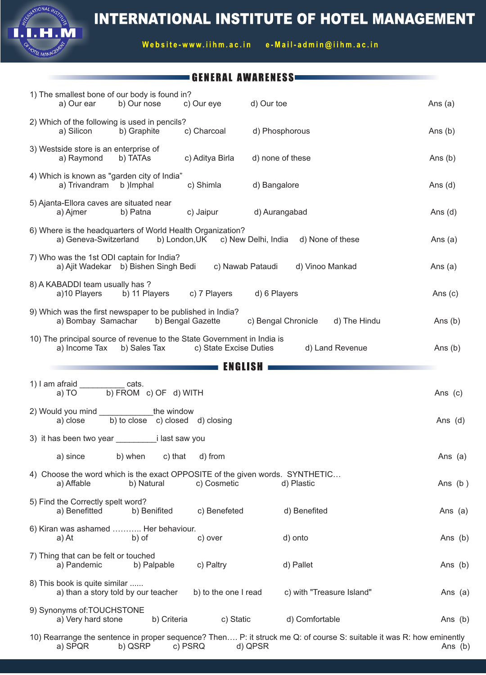

Website-www.iihm.ac.in e-Mail-admin@iihm.ac.in

## GENERAL AWARENESS

ONAL<sup>IA</sup>

EL MANAG

| 1) The smallest bone of our body is found in?<br>b) Our nose<br>a) Our ear                               | c) Our eye             | d) Our toe                                         | Ans $(a)$ |
|----------------------------------------------------------------------------------------------------------|------------------------|----------------------------------------------------|-----------|
| 2) Which of the following is used in pencils?<br>a) Silicon<br>b) Graphite                               | c) Charcoal            | d) Phosphorous                                     | Ans $(b)$ |
| 3) Westside store is an enterprise of<br>a) Raymond<br>b) TATAs                                          | c) Aditya Birla        | d) none of these                                   | Ans $(b)$ |
| 4) Which is known as "garden city of India"<br>a) Trivandram<br>b) Imphal                                | c) Shimla              | d) Bangalore                                       | Ans $(d)$ |
| 5) Ajanta-Ellora caves are situated near<br>b) Patna<br>a) Ajmer                                         | c) Jaipur              | d) Aurangabad                                      | Ans $(d)$ |
| 6) Where is the headquarters of World Health Organization?<br>a) Geneva-Switzerland                      |                        | b) London, UK c) New Delhi, India d) None of these | Ans $(a)$ |
| 7) Who was the 1st ODI captain for India?<br>a) Ajit Wadekar b) Bishen Singh Bedi                        |                        | c) Nawab Pataudi<br>d) Vinoo Mankad                | Ans $(a)$ |
| 8) A KABADDI team usually has ?<br>a)10 Players<br>b) 11 Players                                         | c) 7 Players           | d) 6 Players                                       | Ans $(c)$ |
| 9) Which was the first newspaper to be published in India?<br>a) Bombay Samachar                         | b) Bengal Gazette      | c) Bengal Chronicle<br>d) The Hindu                | Ans $(b)$ |
| 10) The principal source of revenue to the State Government in India is<br>a) Income Tax<br>b) Sales Tax | c) State Excise Duties | d) Land Revenue                                    | Ans $(b)$ |
|                                                                                                          | ENGLISH                |                                                    |           |
| 1) I am afraid ____________ cats.                                                                        |                        |                                                    |           |
| b) FROM c) OF d) WITH<br>a) TO                                                                           |                        |                                                    | Ans (c)   |
| 2) Would you mind ________________the window<br>b) to close c) closed d) closing<br>a) close             |                        |                                                    | Ans $(d)$ |
|                                                                                                          |                        |                                                    |           |
| c) that<br>a) since<br>b) when                                                                           | d) from                |                                                    | Ans $(a)$ |
| 4) Choose the word which is the exact OPPOSITE of the given words. SYNTHETIC<br>a) Affable<br>b) Natural | c) Cosmetic            | d) Plastic                                         | Ans $(b)$ |
| 5) Find the Correctly spelt word?<br>a) Benefitted<br>b) Benifited                                       | c) Benefeted           | d) Benefited                                       | Ans (a)   |
| 6) Kiran was ashamed  Her behaviour.                                                                     |                        |                                                    |           |
| a) At<br>b) of                                                                                           | c) over                | d) onto                                            | Ans (b)   |
| 7) Thing that can be felt or touched<br>a) Pandemic<br>b) Palpable                                       | c) Paltry              | d) Pallet                                          | Ans (b)   |
| 8) This book is quite similar<br>a) than a story told by our teacher                                     | b) to the one I read   | c) with "Treasure Island"                          | Ans $(a)$ |
| 9) Synonyms of: TOUCHSTONE<br>a) Very hard stone<br>b) Criteria                                          | c) Static              | d) Comfortable                                     | Ans (b)   |